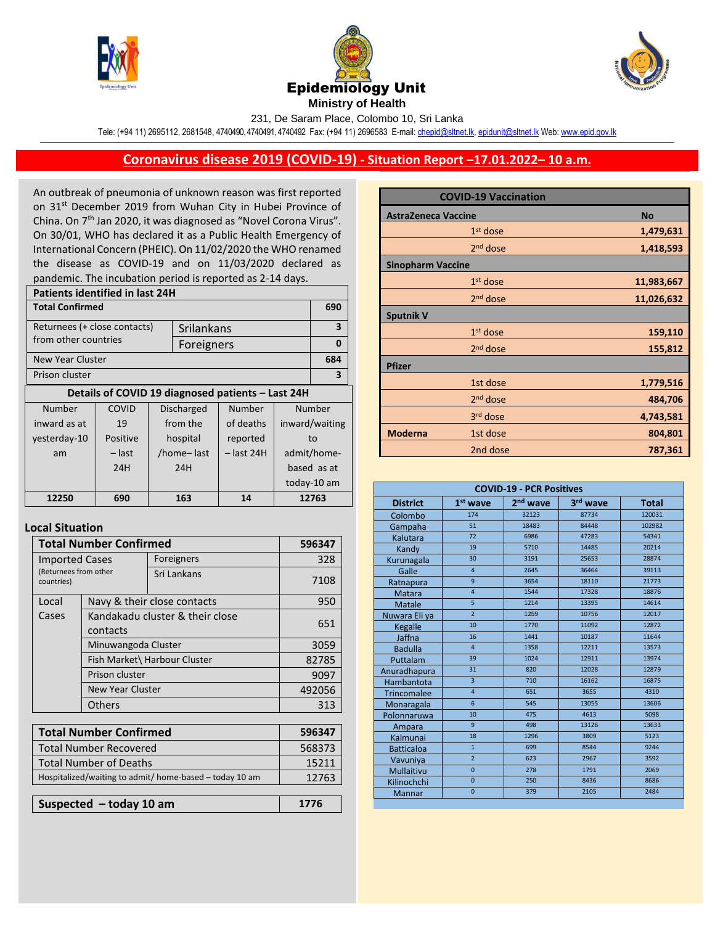





231, De Saram Place, Colombo 10, Sri Lanka

Tele: (+94 11) 2695112, 2681548, 4740490, 4740491, 4740492 Fax: (+94 11) 2696583 E-mail[: chepid@sltnet.lk,](mailto:chepi@sltnet.lk) [epidunit@sltnet.lk](mailto:epidunit@sltnet.lk) Web[: www.epid.gov.lk](http://www.epid.gov.lk/)

## **Coronavirus disease 2019 (COVID-19) - Situation Report –17.01.2022– 10 a.m.**

An outbreak of pneumonia of unknown reason was first reported on 31<sup>st</sup> December 2019 from Wuhan City in Hubei Province of China. On 7<sup>th</sup> Jan 2020, it was diagnosed as "Novel Corona Virus". On 30/01, WHO has declared it as a Public Health Emergency of International Concern (PHEIC). On 11/02/2020 the WHO renamed the disease as COVID-19 and on 11/03/2020 declared as pandemic. The incubation period is reported as 2-14 days.

| <b>Patients identified in last 24H</b> |                        |  |                                       |                                                   |                |             |
|----------------------------------------|------------------------|--|---------------------------------------|---------------------------------------------------|----------------|-------------|
|                                        | <b>Total Confirmed</b> |  |                                       |                                                   | 690            |             |
| Returnees (+ close contacts)           |                        |  | Srilankans                            |                                                   |                | 3           |
| from other countries                   |                        |  | Foreigners                            |                                                   |                | 0           |
| New Year Cluster                       |                        |  |                                       |                                                   |                | 684         |
| Prison cluster                         |                        |  |                                       | 3                                                 |                |             |
|                                        |                        |  |                                       | Details of COVID 19 diagnosed patients - Last 24H |                |             |
| Number                                 | COVID                  |  | Number<br>Number<br><b>Discharged</b> |                                                   |                |             |
| inward as at                           | 19                     |  | from the                              | of deaths                                         | inward/waiting |             |
| yesterday-10                           | Positive               |  | hospital                              | reported                                          | to             |             |
| am                                     | – last                 |  | /home-last                            | $-$ last 24H                                      | admit/home-    |             |
|                                        | 24H                    |  | 24H                                   |                                                   | based as at    |             |
|                                        |                        |  |                                       |                                                   |                | today-10 am |
| 12250                                  | 690                    |  | 163                                   | 14                                                | 12763          |             |
|                                        |                        |  |                                       |                                                   |                |             |

## **Local Situation**

| <b>Total Number Confirmed</b>                                | 596347                                                                    |                             |        |
|--------------------------------------------------------------|---------------------------------------------------------------------------|-----------------------------|--------|
| <b>Imported Cases</b><br>(Returnees from other<br>countries) |                                                                           | Foreigners                  | 328    |
|                                                              |                                                                           | Sri Lankans                 | 7108   |
| Local                                                        |                                                                           | Navy & their close contacts | 950    |
| Cases                                                        | Kandakadu cluster & their close<br>contacts                               | 651                         |        |
|                                                              | Minuwangoda Cluster                                                       |                             |        |
|                                                              | Fish Market\ Harbour Cluster<br>Prison cluster<br><b>New Year Cluster</b> |                             | 82785  |
|                                                              |                                                                           |                             | 9097   |
|                                                              |                                                                           |                             | 492056 |
|                                                              | Others                                                                    |                             | 313    |
|                                                              |                                                                           |                             |        |
| <b>Total Number Confirmed</b>                                |                                                                           |                             | 596347 |
| <b>Total Number Recovered</b>                                |                                                                           |                             | 568373 |
| <b>Total Number of Deaths</b>                                |                                                                           |                             | 15211  |
| Hospitalized/waiting to admit/ home-based - today 10 am      |                                                                           |                             | 12763  |
|                                                              |                                                                           |                             |        |
| Suspected $-$ today 10 am                                    |                                                                           |                             | 1776   |

|                            | <b>COVID-19 Vaccination</b> |            |
|----------------------------|-----------------------------|------------|
| <b>AstraZeneca Vaccine</b> | <b>No</b>                   |            |
|                            | $1st$ dose                  | 1,479,631  |
|                            | $2nd$ dose                  | 1,418,593  |
| <b>Sinopharm Vaccine</b>   |                             |            |
|                            | $1st$ dose                  | 11,983,667 |
|                            | $2nd$ dose                  | 11,026,632 |
| <b>Sputnik V</b>           |                             |            |
|                            | $1st$ dose                  | 159,110    |
|                            | 2 <sup>nd</sup> dose        | 155,812    |
| <b>Pfizer</b>              |                             |            |
|                            | 1st dose                    | 1,779,516  |
|                            | 2 <sup>nd</sup> dose        | 484,706    |
|                            | 3 <sup>rd</sup> dose        | 4,743,581  |
| <b>Moderna</b>             | 1st dose                    | 804,801    |
|                            | 2nd dose                    | 787,361    |

| <b>COVID-19 - PCR Positives</b> |                |                      |          |              |
|---------------------------------|----------------|----------------------|----------|--------------|
| <b>District</b>                 | $1st$ wave     | 2 <sup>nd</sup> wave | 3rd wave | <b>Total</b> |
| Colombo                         | 174            | 32123                | 87734    | 120031       |
| Gampaha                         | 51             | 18483                | 84448    | 102982       |
| Kalutara                        | 72             | 6986                 | 47283    | 54341        |
| Kandy                           | 19             | 5710                 | 14485    | 20214        |
| Kurunagala                      | 30             | 3191                 | 25653    | 28874        |
| Galle                           | $\overline{4}$ | 2645                 | 36464    | 39113        |
| Ratnapura                       | 9              | 3654                 | 18110    | 21773        |
| <b>Matara</b>                   | $\overline{4}$ | 1544                 | 17328    | 18876        |
| Matale                          | $\overline{5}$ | 1214                 | 13395    | 14614        |
| Nuwara Eliya                    | $\overline{2}$ | 1259                 | 10756    | 12017        |
| Kegalle                         | 10             | 1770                 | 11092    | 12872        |
| Jaffna                          | 16             | 1441                 | 10187    | 11644        |
| <b>Badulla</b>                  | $\overline{4}$ | 1358                 | 12211    | 13573        |
| Puttalam                        | 39             | 1024                 | 12911    | 13974        |
| Anuradhapura                    | 31             | 820                  | 12028    | 12879        |
| Hambantota                      | $\overline{3}$ | 710                  | 16162    | 16875        |
| <b>Trincomalee</b>              | $\overline{4}$ | 651                  | 3655     | 4310         |
| Monaragala                      | 6              | 545                  | 13055    | 13606        |
| Polonnaruwa                     | 10             | 475                  | 4613     | 5098         |
| Ampara                          | $\overline{9}$ | 498                  | 13126    | 13633        |
| Kalmunai                        | 18             | 1296                 | 3809     | 5123         |
| <b>Batticaloa</b>               | $\overline{1}$ | 699                  | 8544     | 9244         |
| Vavuniya                        | $\overline{2}$ | 623                  | 2967     | 3592         |
| Mullaitivu                      | $\mathbf{0}$   | 278                  | 1791     | 2069         |
| Kilinochchi                     | $\overline{0}$ | 250                  | 8436     | 8686         |
| Mannar                          | $\overline{0}$ | 379                  | 2105     | 2484         |